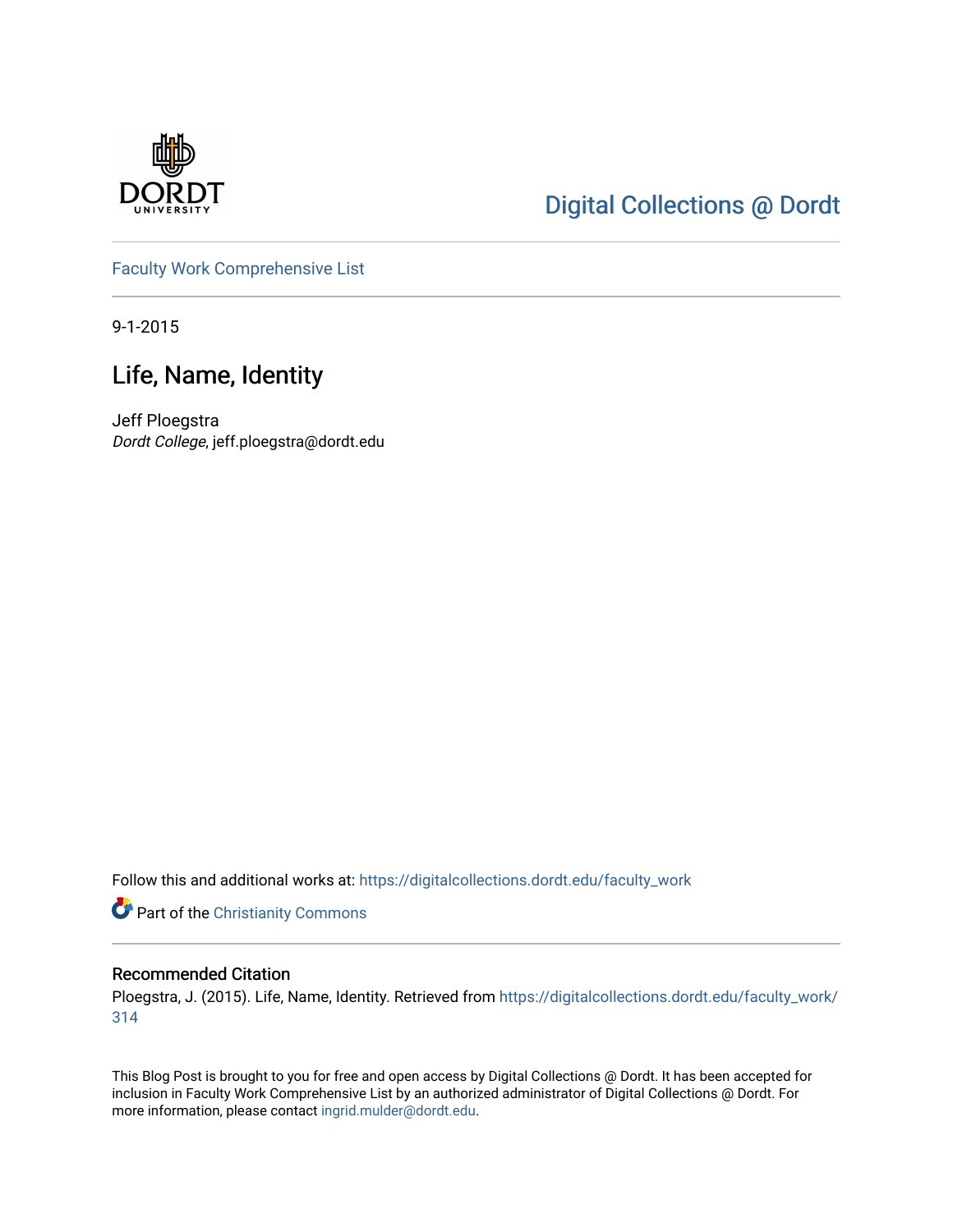

## [Digital Collections @ Dordt](https://digitalcollections.dordt.edu/)

[Faculty Work Comprehensive List](https://digitalcollections.dordt.edu/faculty_work)

9-1-2015

## Life, Name, Identity

Jeff Ploegstra Dordt College, jeff.ploegstra@dordt.edu

Follow this and additional works at: [https://digitalcollections.dordt.edu/faculty\\_work](https://digitalcollections.dordt.edu/faculty_work?utm_source=digitalcollections.dordt.edu%2Ffaculty_work%2F314&utm_medium=PDF&utm_campaign=PDFCoverPages) 

Part of the [Christianity Commons](http://network.bepress.com/hgg/discipline/1181?utm_source=digitalcollections.dordt.edu%2Ffaculty_work%2F314&utm_medium=PDF&utm_campaign=PDFCoverPages) 

#### Recommended Citation

Ploegstra, J. (2015). Life, Name, Identity. Retrieved from [https://digitalcollections.dordt.edu/faculty\\_work/](https://digitalcollections.dordt.edu/faculty_work/314?utm_source=digitalcollections.dordt.edu%2Ffaculty_work%2F314&utm_medium=PDF&utm_campaign=PDFCoverPages) [314](https://digitalcollections.dordt.edu/faculty_work/314?utm_source=digitalcollections.dordt.edu%2Ffaculty_work%2F314&utm_medium=PDF&utm_campaign=PDFCoverPages) 

This Blog Post is brought to you for free and open access by Digital Collections @ Dordt. It has been accepted for inclusion in Faculty Work Comprehensive List by an authorized administrator of Digital Collections @ Dordt. For more information, please contact [ingrid.mulder@dordt.edu.](mailto:ingrid.mulder@dordt.edu)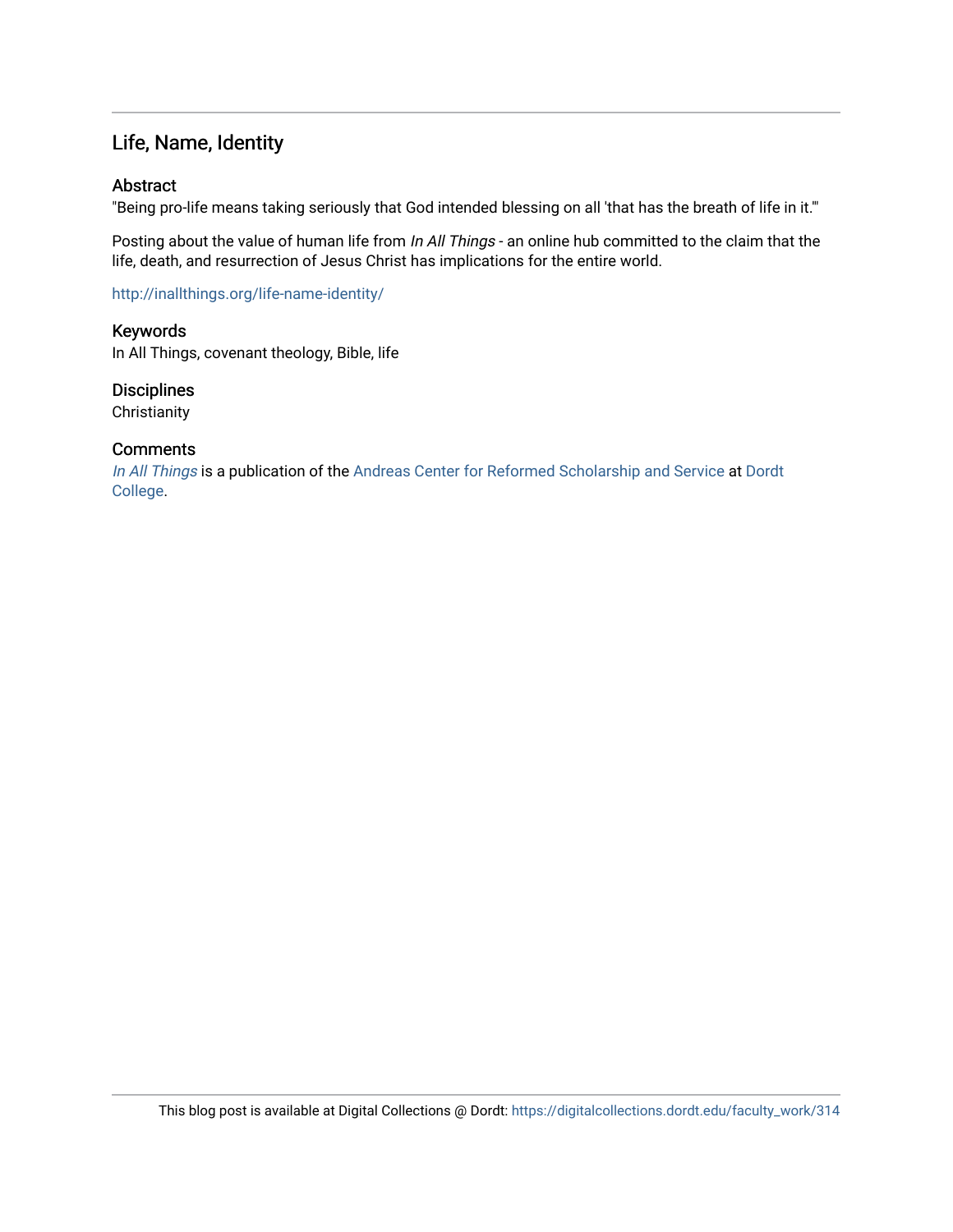### Life, Name, Identity

#### Abstract

"Being pro-life means taking seriously that God intended blessing on all 'that has the breath of life in it.'"

Posting about the value of human life from In All Things - an online hub committed to the claim that the life, death, and resurrection of Jesus Christ has implications for the entire world.

<http://inallthings.org/life-name-identity/>

Keywords In All Things, covenant theology, Bible, life

**Disciplines Christianity** 

#### **Comments**

[In All Things](http://inallthings.org/) is a publication of the [Andreas Center for Reformed Scholarship and Service](http://www.dordt.edu/services_support/andreas_center/) at Dordt [College](http://www.dordt.edu/).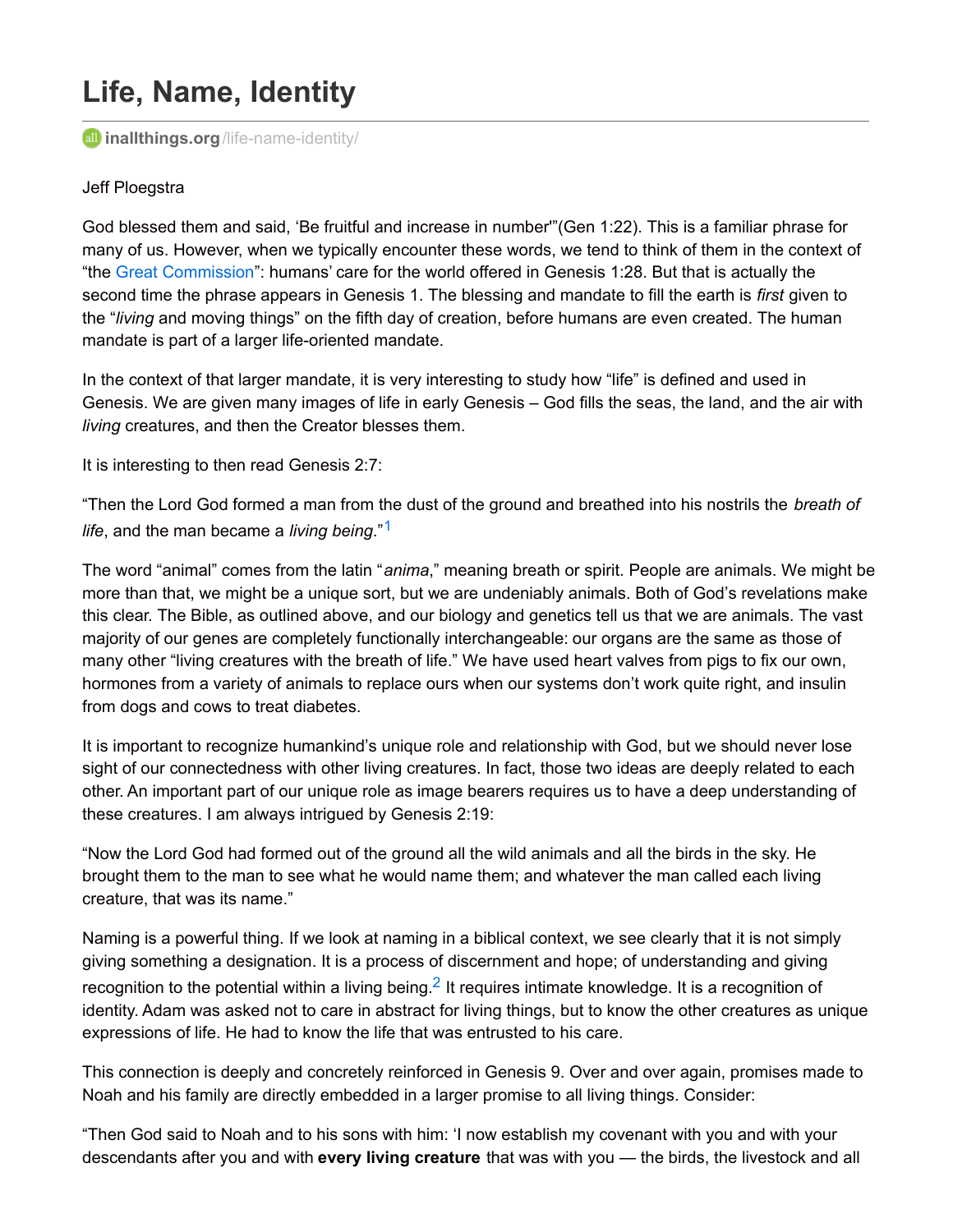# **Life, Name, Identity**

*inalithings.org[/life-name-identity/](http://inallthings.org/life-name-identity/)* 

#### Jeff Ploegstra

God blessed them and said, 'Be fruitful and increase in number'"(Gen 1:22). This is a familiar phrase for many of us. However, when we typically encounter these words, we tend to think of them in the context of "the Great [Commission](http://inallthings.org/glossary/great-commission/)": humans' care for the world offered in Genesis 1:28. But that is actually the second time the phrase appears in Genesis 1. The blessing and mandate to fill the earth is *first* given to the "*living* and moving things" on the fifth day of creation, before humans are even created. The human mandate is part of a larger life-oriented mandate.

In the context of that larger mandate, it is very interesting to study how "life" is defined and used in Genesis. We are given many images of life in early Genesis – God fills the seas, the land, and the air with *living* creatures, and then the Creator blesses them.

It is interesting to then read Genesis 2:7:

"Then the Lord God formed a man from the dust of the ground and breathed into his nostrils the *breath of life*, and the man became a *living being*." [1](http://inallthings.org/life-name-identity/#fn1-5954)

The word "animal" comes from the latin "*anima*," meaning breath or spirit. People are animals. We might be more than that, we might be a unique sort, but we are undeniably animals. Both of God's revelations make this clear. The Bible, as outlined above, and our biology and genetics tell us that we are animals. The vast majority of our genes are completely functionally interchangeable: our organs are the same as those of many other "living creatures with the breath of life." We have used heart valves from pigs to fix our own, hormones from a variety of animals to replace ours when our systems don't work quite right, and insulin from dogs and cows to treat diabetes.

It is important to recognize humankind's unique role and relationship with God, but we should never lose sight of our connectedness with other living creatures. In fact, those two ideas are deeply related to each other. An important part of our unique role as image bearers requires us to have a deep understanding of these creatures. I am always intrigued by Genesis 2:19:

"Now the Lord God had formed out of the ground all the wild animals and all the birds in the sky. He brought them to the man to see what he would name them; and whatever the man called each living creature, that was its name."

Naming is a powerful thing. If we look at naming in a biblical context, we see clearly that it is not simply giving something a designation. It is a process of discernment and hope; of understanding and giving recognition to the potential within a living being.<sup>[2](http://inallthings.org/life-name-identity/#fn2-5954)</sup> It requires intimate knowledge. It is a recognition of identity. Adam was asked not to care in abstract for living things, but to know the other creatures as unique expressions of life. He had to know the life that was entrusted to his care.

This connection is deeply and concretely reinforced in Genesis 9. Over and over again, promises made to Noah and his family are directly embedded in a larger promise to all living things. Consider:

"Then God said to Noah and to his sons with him: 'I now establish my covenant with you and with your descendants after you and with **every living creature** that was with you — the birds, the livestock and all